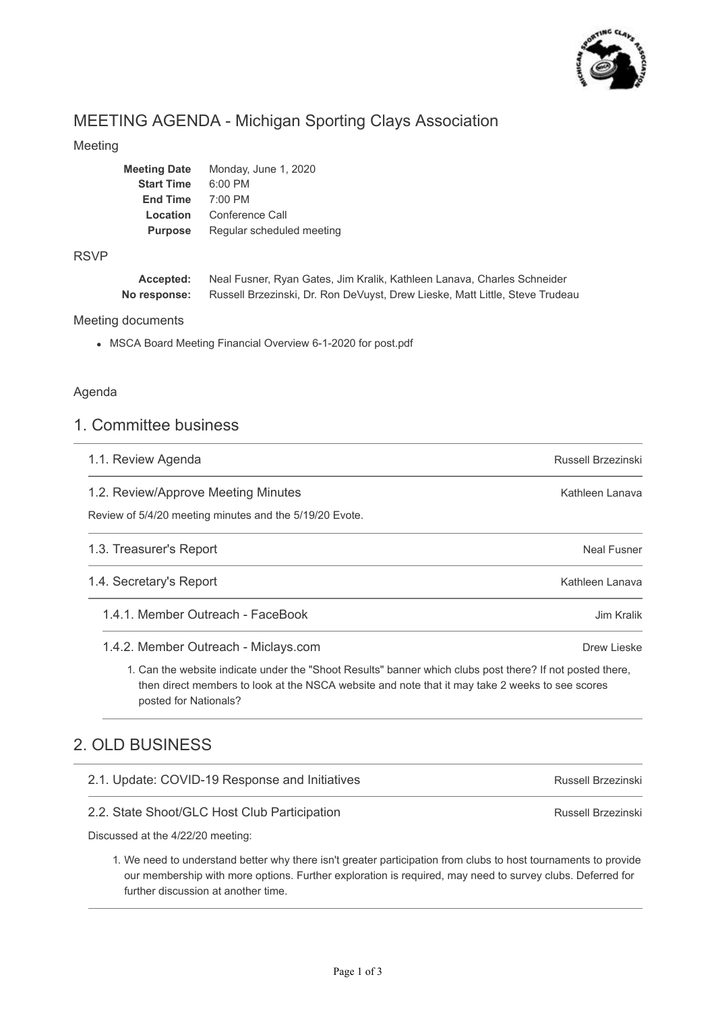

# MEETING AGENDA - Michigan Sporting Clays Association

## Meeting

| <b>Meeting Date</b> | Monday, June 1, 2020      |
|---------------------|---------------------------|
| <b>Start Time</b>   | $6:00$ PM                 |
| <b>End Time</b>     | $7:00$ PM                 |
| Location            | Conference Call           |
| <b>Purpose</b>      | Regular scheduled meeting |
|                     |                           |

### RSVP

| Accepted:    | Neal Fusner, Ryan Gates, Jim Kralik, Kathleen Lanava, Charles Schneider      |
|--------------|------------------------------------------------------------------------------|
| No response: | Russell Brzezinski, Dr. Ron DeVuyst, Drew Lieske, Matt Little, Steve Trudeau |

### Meeting documents

MSCA Board Meeting Financial Overview 6-1-2020 for post.pdf

## Agenda

## 1. Committee business

| 1.1. Review Agenda                                                                                                                                                                                                                    | Russell Brzezinski |
|---------------------------------------------------------------------------------------------------------------------------------------------------------------------------------------------------------------------------------------|--------------------|
| 1.2. Review/Approve Meeting Minutes                                                                                                                                                                                                   | Kathleen Lanava    |
| Review of 5/4/20 meeting minutes and the 5/19/20 Evote.                                                                                                                                                                               |                    |
| 1.3. Treasurer's Report                                                                                                                                                                                                               | Neal Fusner        |
| 1.4. Secretary's Report                                                                                                                                                                                                               | Kathleen Lanava    |
| 1.4.1. Member Outreach - FaceBook                                                                                                                                                                                                     | Jim Kralik         |
| 1.4.2. Member Outreach - Miclays.com                                                                                                                                                                                                  | Drew Lieske        |
| 1. Can the website indicate under the "Shoot Results" banner which clubs post there? If not posted there,<br>then direct members to look at the NSCA website and note that it may take 2 weeks to see scores<br>posted for Nationals? |                    |
| 2. OLD BUSINESS                                                                                                                                                                                                                       |                    |
|                                                                                                                                                                                                                                       |                    |

| 2.1. Update: COVID-19 Response and Initiatives | Russell Brzezinski |
|------------------------------------------------|--------------------|
| 2.2. State Shoot/GLC Host Club Participation   | Russell Brzezinski |

Discussed at the 4/22/20 meeting:

1. We need to understand better why there isn't greater participation from clubs to host tournaments to provide our membership with more options. Further exploration is required, may need to survey clubs. Deferred for further discussion at another time.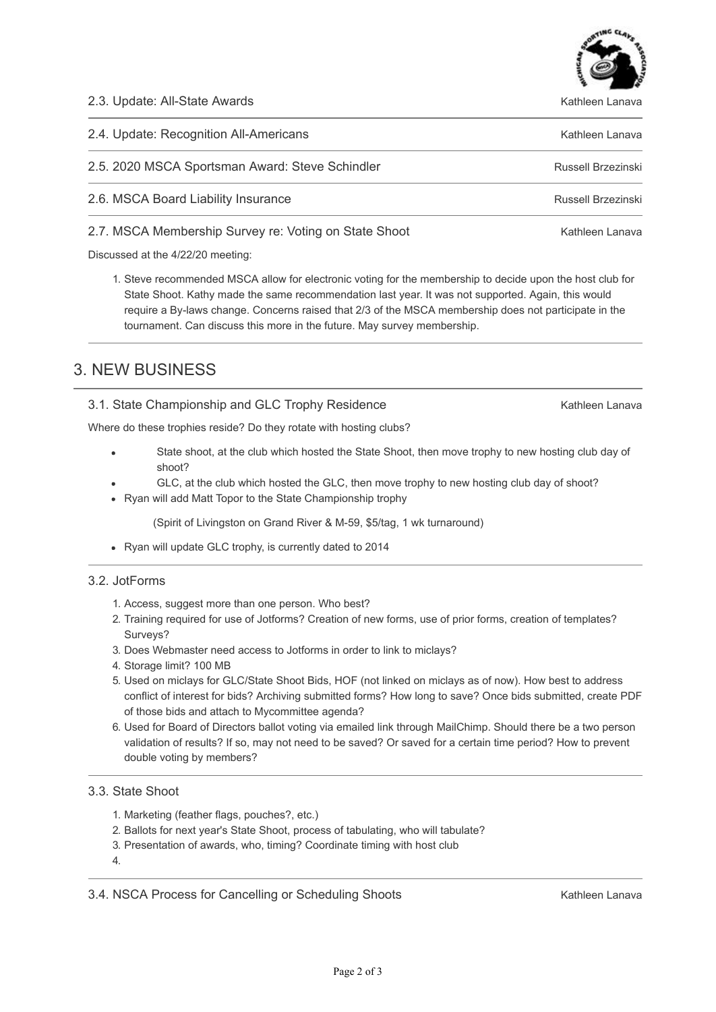2.3. Update: All-State Awards

| 2.4. Update: Recognition All-Americans                | Kathleen Lanava    |
|-------------------------------------------------------|--------------------|
| 2.5. 2020 MSCA Sportsman Award: Steve Schindler       | Russell Brzezinski |
| 2.6. MSCA Board Liability Insurance                   | Russell Brzezinski |
| 2.7. MSCA Membership Survey re: Voting on State Shoot | Kathleen Lanava    |

Discussed at the 4/22/20 meeting:

1. Steve recommended MSCA allow for electronic voting for the membership to decide upon the host club for State Shoot. Kathy made the same recommendation last year. It was not supported. Again, this would require a By-laws change. Concerns raised that 2/3 of the MSCA membership does not participate in the tournament. Can discuss this more in the future. May survey membership.

## 3. NEW BUSINESS

## 3.1. State Championship and GLC Trophy Residence

Where do these trophies reside? Do they rotate with hosting clubs?

- State shoot, at the club which hosted the State Shoot, then move trophy to new hosting club day of shoot?
- GLC, at the club which hosted the GLC, then move trophy to new hosting club day of shoot?
- Ryan will add Matt Topor to the State Championship trophy

(Spirit of Livingston on Grand River & M-59, \$5/tag, 1 wk turnaround)

• Ryan will update GLC trophy, is currently dated to 2014

### 3.2. JotForms

- 1. Access, suggest more than one person. Who best?
- 2. Training required for use of Jotforms? Creation of new forms, use of prior forms, creation of templates? Surveys?
- 3. Does Webmaster need access to Jotforms in order to link to miclays?
- 4. Storage limit? 100 MB
- 5. Used on miclays for GLC/State Shoot Bids, HOF (not linked on miclays as of now). How best to address conflict of interest for bids? Archiving submitted forms? How long to save? Once bids submitted, create PDF of those bids and attach to Mycommittee agenda?
- 6. Used for Board of Directors ballot voting via emailed link through MailChimp. Should there be a two person validation of results? If so, may not need to be saved? Or saved for a certain time period? How to prevent double voting by members?

## 3.3. State Shoot

- 1. Marketing (feather flags, pouches?, etc.)
- 2. Ballots for next year's State Shoot, process of tabulating, who will tabulate?
- 3. Presentation of awards, who, timing? Coordinate timing with host club
- 4.

3.4. NSCA Process for Cancelling or Scheduling Shoots

Kathleen Lanava



Kathleen Lanava